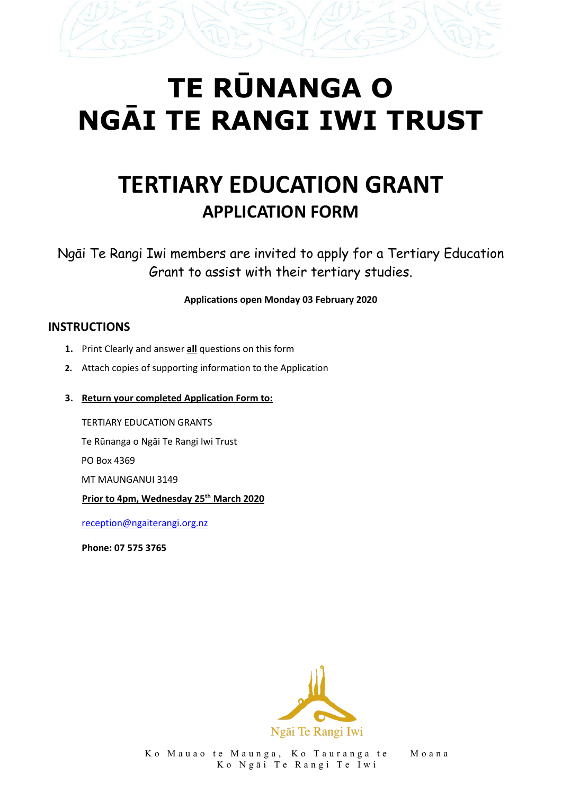# **TE RŪNANGA O NGĀI TE RANGI IWI TRUST**

# **TERTIARY EDUCATION GRANT APPLICATION FORM**

Ngāi Te Rangi Iwi members are invited to apply for a Tertiary Education Grant to assist with their tertiary studies.

#### **Applications open Monday 03 February 2020**

#### **INSTRUCTIONS**

- **1.** Print Clearly and answer **all** questions on this form
- **2.** Attach copies of supporting information to the Application
- **3. Return your completed Application Form to:**

TERTIARY EDUCATION GRANTS Te Rūnanga o Ngāi Te Rangi Iwi Trust PO Box 4369 MT MAUNGANUI 3149 **Prior to 4pm, Wednesday 25th March 2020**

[reception@ngaiterangi.org.nz](mailto:reception@ngaiterangi.org.nz)

**Phone: 07 575 3765**

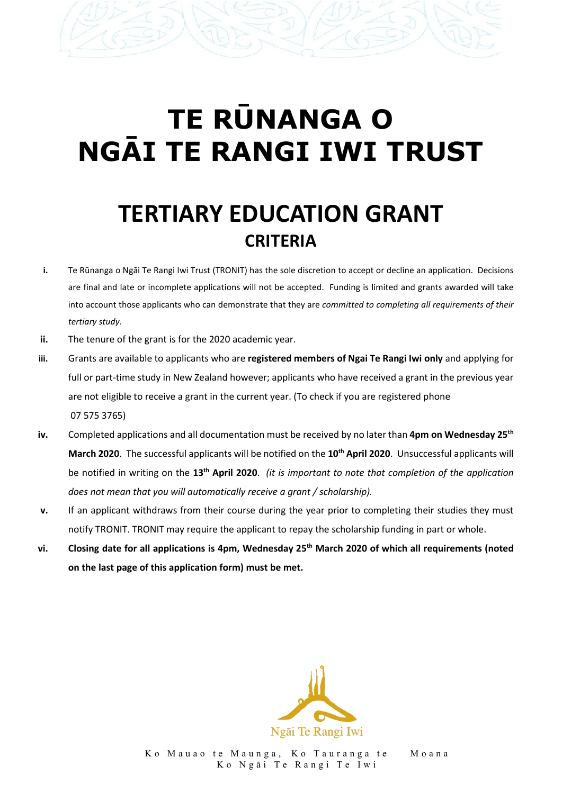# **TE RŪNANGA O NGĀI TE RANGI IWI TRUST**

# **TERTIARY EDUCATION GRANT CRITERIA**

- **i.** Te Rūnanga o Ngāi Te Rangi Iwi Trust (TRONIT) has the sole discretion to accept or decline an application. Decisions are final and late or incomplete applications will not be accepted. Funding is limited and grants awarded will take into account those applicants who can demonstrate that they are *committed to completing all requirements of their tertiary study.*
- **ii.** The tenure of the grant is for the 2020 academic year.
- **iii.** Grants are available to applicants who are **registered members of Ngai Te Rangi Iwi only** and applying for full or part-time study in New Zealand however; applicants who have received a grant in the previous year are not eligible to receive a grant in the current year. (To check if you are registered phone 07 575 3765)
- **iv.** Completed applications and all documentation must be received by no later than **4pm on Wednesday 25th March 2020**. The successful applicants will be notified on the **10th April 2020**. Unsuccessful applicants will be notified in writing on the **13th April 2020**. *(it is important to note that completion of the application does not mean that you will automatically receive a grant / scholarship).*
- **v.** If an applicant withdraws from their course during the year prior to completing their studies they must notify TRONIT. TRONIT may require the applicant to repay the scholarship funding in part or whole.
- **vi. Closing date for all applications is 4pm, Wednesday 25th March 2020 of which all requirements (noted on the last page of this application form) must be met.**

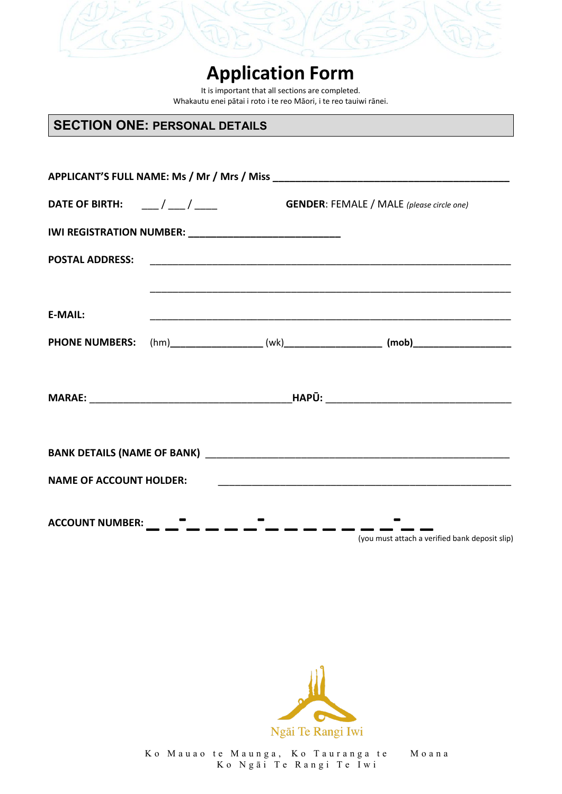

It is important that all sections are completed. Whakautu enei pātai i roto i te reo Māori, i te reo tauiwi rānei.

### **SECTION ONE: PERSONAL DETAILS**

| <b>E-MAIL:</b>                 |  |                                                 |                                                |  |  |  |
|--------------------------------|--|-------------------------------------------------|------------------------------------------------|--|--|--|
|                                |  |                                                 |                                                |  |  |  |
|                                |  |                                                 |                                                |  |  |  |
|                                |  |                                                 |                                                |  |  |  |
|                                |  |                                                 |                                                |  |  |  |
| <b>NAME OF ACCOUNT HOLDER:</b> |  |                                                 |                                                |  |  |  |
|                                |  | ACCOUNT NUMBER: _ _ _ _ _ _ _ _ _ _ _ _ _ _ _ _ | (you must attach a verified bank deposit slip) |  |  |  |

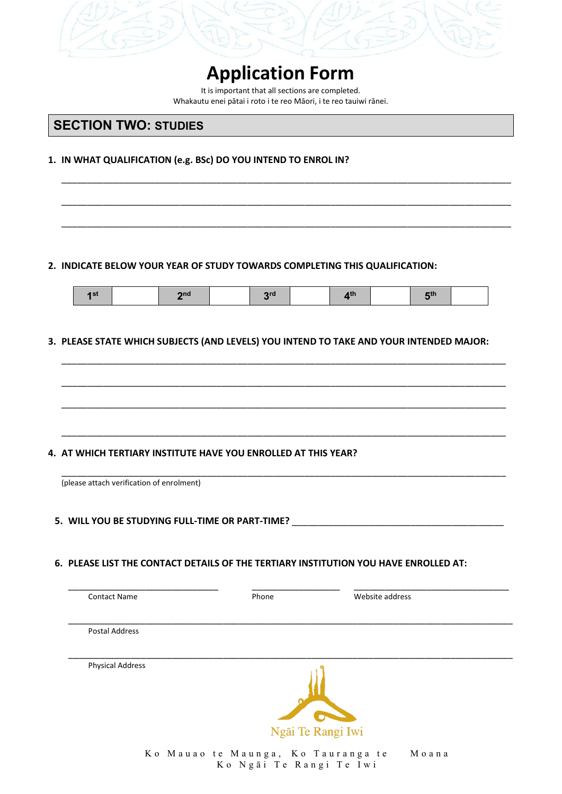

It is important that all sections are completed. Whakautu enei pātai i roto i te reo Māori, i te reo tauiwi rānei.

\_\_\_\_\_\_\_\_\_\_\_\_\_\_\_\_\_\_\_\_\_\_\_\_\_\_\_\_\_\_\_\_\_\_\_\_\_\_\_\_\_\_\_\_\_\_\_\_\_\_\_\_\_\_\_\_\_\_\_\_\_\_\_\_\_\_\_\_\_\_\_\_\_\_\_\_\_\_\_\_\_\_\_\_\_\_\_

\_\_\_\_\_\_\_\_\_\_\_\_\_\_\_\_\_\_\_\_\_\_\_\_\_\_\_\_\_\_\_\_\_\_\_\_\_\_\_\_\_\_\_\_\_\_\_\_\_\_\_\_\_\_\_\_\_\_\_\_\_\_\_\_\_\_\_\_\_\_\_\_\_\_\_\_\_\_\_\_\_\_\_\_\_\_\_

\_\_\_\_\_\_\_\_\_\_\_\_\_\_\_\_\_\_\_\_\_\_\_\_\_\_\_\_\_\_\_\_\_\_\_\_\_\_\_\_\_\_\_\_\_\_\_\_\_\_\_\_\_\_\_\_\_\_\_\_\_\_\_\_\_\_\_\_\_\_\_\_\_\_\_\_\_\_\_\_\_\_\_\_\_\_\_

#### **SECTION TWO: STUDIES**

#### **1. IN WHAT QUALIFICATION (e.g. BSc) DO YOU INTEND TO ENROL IN?**

#### **2. INDICATE BELOW YOUR YEAR OF STUDY TOWARDS COMPLETING THIS QUALIFICATION:**

|  |  |  |  | - - |  |  |  |  |  |
|--|--|--|--|-----|--|--|--|--|--|
|--|--|--|--|-----|--|--|--|--|--|

\_\_\_\_\_\_\_\_\_\_\_\_\_\_\_\_\_\_\_\_\_\_\_\_\_\_\_\_\_\_\_\_\_\_\_\_\_\_\_\_\_\_\_\_\_\_\_\_\_\_\_\_\_\_\_\_\_\_\_\_\_\_\_\_\_\_\_\_\_\_\_\_\_\_\_\_\_\_\_\_\_\_\_\_\_\_

\_\_\_\_\_\_\_\_\_\_\_\_\_\_\_\_\_\_\_\_\_\_\_\_\_\_\_\_\_\_\_\_\_\_\_\_\_\_\_\_\_\_\_\_\_\_\_\_\_\_\_\_\_\_\_\_\_\_\_\_\_\_\_\_\_\_\_\_\_\_\_\_\_\_\_\_\_\_\_\_\_\_\_\_\_\_

\_\_\_\_\_\_\_\_\_\_\_\_\_\_\_\_\_\_\_\_\_\_\_\_\_\_\_\_\_\_\_\_\_\_\_\_\_\_\_\_\_\_\_\_\_\_\_\_\_\_\_\_\_\_\_\_\_\_\_\_\_\_\_\_\_\_\_\_\_\_\_\_\_\_\_\_\_\_\_\_\_\_\_\_\_\_

\_\_\_\_\_\_\_\_\_\_\_\_\_\_\_\_\_\_\_\_\_\_\_\_\_\_\_\_\_\_\_\_\_\_\_\_\_\_\_\_\_\_\_\_\_\_\_\_\_\_\_\_\_\_\_\_\_\_\_\_\_\_\_\_\_\_\_\_\_\_\_\_\_\_\_\_\_\_\_\_\_\_\_\_\_\_

#### **3. PLEASE STATE WHICH SUBJECTS (AND LEVELS) YOU INTEND TO TAKE AND YOUR INTENDED MAJOR:**

#### **4. AT WHICH TERTIARY INSTITUTE HAVE YOU ENROLLED AT THIS YEAR?**

| (please attach verification of enrolment)       |  |
|-------------------------------------------------|--|
|                                                 |  |
|                                                 |  |
|                                                 |  |
| 5. WILL YOU BE STUDYING FULL-TIME OR PART-TIME? |  |

#### **6. PLEASE LIST THE CONTACT DETAILS OF THE TERTIARY INSTITUTION YOU HAVE ENROLLED AT:**

| <b>Contact Name</b>     | Phone | Website address   |  |
|-------------------------|-------|-------------------|--|
| Postal Address          |       |                   |  |
| <b>Physical Address</b> |       |                   |  |
|                         |       | <b>C</b>          |  |
|                         |       | Ngāi Te Rangi Iwi |  |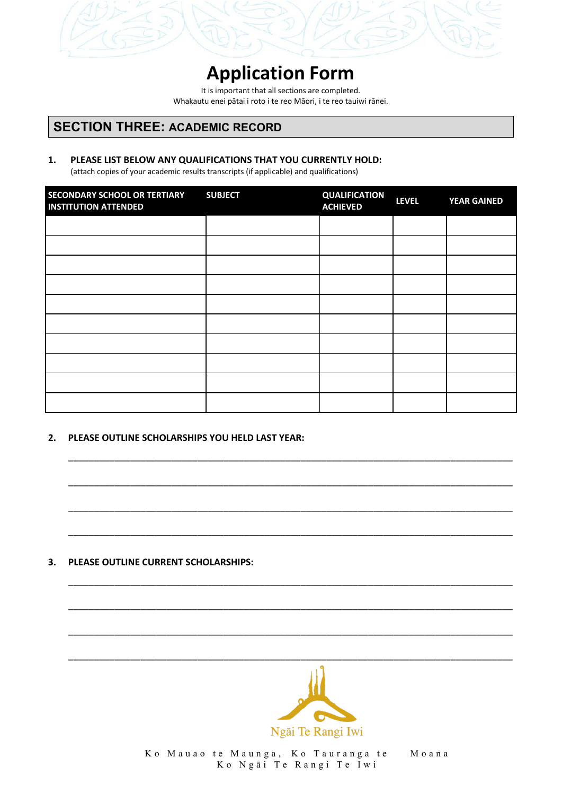

It is important that all sections are completed. Whakautu enei pātai i roto i te reo Māori, i te reo tauiwi rānei.

#### **SECTION THREE: ACADEMIC RECORD**

#### **1. PLEASE LIST BELOW ANY QUALIFICATIONS THAT YOU CURRENTLY HOLD:**

(attach copies of your academic results transcripts (if applicable) and qualifications)

| SECONDARY SCHOOL OR TERTIARY<br><b>INSTITUTION ATTENDED</b> | <b>SUBJECT</b> | <b>QUALIFICATION</b><br><b>ACHIEVED</b> | <b>LEVEL</b> | <b>YEAR GAINED</b> |
|-------------------------------------------------------------|----------------|-----------------------------------------|--------------|--------------------|
|                                                             |                |                                         |              |                    |
|                                                             |                |                                         |              |                    |
|                                                             |                |                                         |              |                    |
|                                                             |                |                                         |              |                    |
|                                                             |                |                                         |              |                    |
|                                                             |                |                                         |              |                    |
|                                                             |                |                                         |              |                    |
|                                                             |                |                                         |              |                    |
|                                                             |                |                                         |              |                    |
|                                                             |                |                                         |              |                    |

\_\_\_\_\_\_\_\_\_\_\_\_\_\_\_\_\_\_\_\_\_\_\_\_\_\_\_\_\_\_\_\_\_\_\_\_\_\_\_\_\_\_\_\_\_\_\_\_\_\_\_\_\_\_\_\_\_\_\_\_\_\_\_\_\_\_\_\_\_\_\_\_\_\_\_\_\_\_\_\_\_\_\_\_\_\_

\_\_\_\_\_\_\_\_\_\_\_\_\_\_\_\_\_\_\_\_\_\_\_\_\_\_\_\_\_\_\_\_\_\_\_\_\_\_\_\_\_\_\_\_\_\_\_\_\_\_\_\_\_\_\_\_\_\_\_\_\_\_\_\_\_\_\_\_\_\_\_\_\_\_\_\_\_\_\_\_\_\_\_\_\_\_

\_\_\_\_\_\_\_\_\_\_\_\_\_\_\_\_\_\_\_\_\_\_\_\_\_\_\_\_\_\_\_\_\_\_\_\_\_\_\_\_\_\_\_\_\_\_\_\_\_\_\_\_\_\_\_\_\_\_\_\_\_\_\_\_\_\_\_\_\_\_\_\_\_\_\_\_\_\_\_\_\_\_\_\_\_\_

\_\_\_\_\_\_\_\_\_\_\_\_\_\_\_\_\_\_\_\_\_\_\_\_\_\_\_\_\_\_\_\_\_\_\_\_\_\_\_\_\_\_\_\_\_\_\_\_\_\_\_\_\_\_\_\_\_\_\_\_\_\_\_\_\_\_\_\_\_\_\_\_\_\_\_\_\_\_\_\_\_\_\_\_\_\_

\_\_\_\_\_\_\_\_\_\_\_\_\_\_\_\_\_\_\_\_\_\_\_\_\_\_\_\_\_\_\_\_\_\_\_\_\_\_\_\_\_\_\_\_\_\_\_\_\_\_\_\_\_\_\_\_\_\_\_\_\_\_\_\_\_\_\_\_\_\_\_\_\_\_\_\_\_\_\_\_\_\_\_\_\_\_

\_\_\_\_\_\_\_\_\_\_\_\_\_\_\_\_\_\_\_\_\_\_\_\_\_\_\_\_\_\_\_\_\_\_\_\_\_\_\_\_\_\_\_\_\_\_\_\_\_\_\_\_\_\_\_\_\_\_\_\_\_\_\_\_\_\_\_\_\_\_\_\_\_\_\_\_\_\_\_\_\_\_\_\_\_\_

\_\_\_\_\_\_\_\_\_\_\_\_\_\_\_\_\_\_\_\_\_\_\_\_\_\_\_\_\_\_\_\_\_\_\_\_\_\_\_\_\_\_\_\_\_\_\_\_\_\_\_\_\_\_\_\_\_\_\_\_\_\_\_\_\_\_\_\_\_\_\_\_\_\_\_\_\_\_\_\_\_\_\_\_\_\_

#### **2. PLEASE OUTLINE SCHOLARSHIPS YOU HELD LAST YEAR:**

#### **3. PLEASE OUTLINE CURRENT SCHOLARSHIPS:**

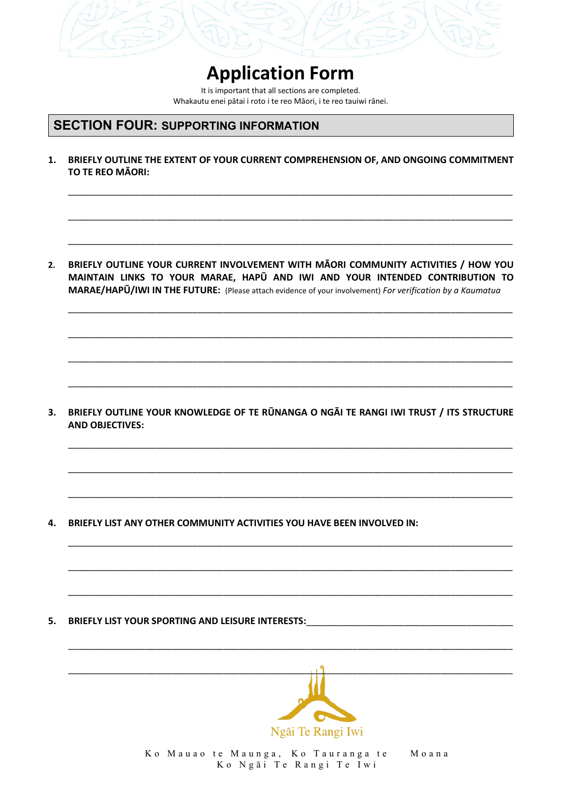

It is important that all sections are completed. Whakautu enei pātai i roto i te reo Māori, i te reo tauiwi rānei.

#### **SECTION FOUR: SUPPORTING INFORMATION**

**1. BRIEFLY OUTLINE THE EXTENT OF YOUR CURRENT COMPREHENSION OF, AND ONGOING COMMITMENT TO TE REO MĀORI:**

\_\_\_\_\_\_\_\_\_\_\_\_\_\_\_\_\_\_\_\_\_\_\_\_\_\_\_\_\_\_\_\_\_\_\_\_\_\_\_\_\_\_\_\_\_\_\_\_\_\_\_\_\_\_\_\_\_\_\_\_\_\_\_\_\_\_\_\_\_\_\_\_\_\_\_\_\_\_\_\_\_\_\_\_\_\_

\_\_\_\_\_\_\_\_\_\_\_\_\_\_\_\_\_\_\_\_\_\_\_\_\_\_\_\_\_\_\_\_\_\_\_\_\_\_\_\_\_\_\_\_\_\_\_\_\_\_\_\_\_\_\_\_\_\_\_\_\_\_\_\_\_\_\_\_\_\_\_\_\_\_\_\_\_\_\_\_\_\_\_\_\_\_

\_\_\_\_\_\_\_\_\_\_\_\_\_\_\_\_\_\_\_\_\_\_\_\_\_\_\_\_\_\_\_\_\_\_\_\_\_\_\_\_\_\_\_\_\_\_\_\_\_\_\_\_\_\_\_\_\_\_\_\_\_\_\_\_\_\_\_\_\_\_\_\_\_\_\_\_\_\_\_\_\_\_\_\_\_\_

\_\_\_\_\_\_\_\_\_\_\_\_\_\_\_\_\_\_\_\_\_\_\_\_\_\_\_\_\_\_\_\_\_\_\_\_\_\_\_\_\_\_\_\_\_\_\_\_\_\_\_\_\_\_\_\_\_\_\_\_\_\_\_\_\_\_\_\_\_\_\_\_\_\_\_\_\_\_\_\_\_\_\_\_\_\_

\_\_\_\_\_\_\_\_\_\_\_\_\_\_\_\_\_\_\_\_\_\_\_\_\_\_\_\_\_\_\_\_\_\_\_\_\_\_\_\_\_\_\_\_\_\_\_\_\_\_\_\_\_\_\_\_\_\_\_\_\_\_\_\_\_\_\_\_\_\_\_\_\_\_\_\_\_\_\_\_\_\_\_\_\_\_

\_\_\_\_\_\_\_\_\_\_\_\_\_\_\_\_\_\_\_\_\_\_\_\_\_\_\_\_\_\_\_\_\_\_\_\_\_\_\_\_\_\_\_\_\_\_\_\_\_\_\_\_\_\_\_\_\_\_\_\_\_\_\_\_\_\_\_\_\_\_\_\_\_\_\_\_\_\_\_\_\_\_\_\_\_\_

\_\_\_\_\_\_\_\_\_\_\_\_\_\_\_\_\_\_\_\_\_\_\_\_\_\_\_\_\_\_\_\_\_\_\_\_\_\_\_\_\_\_\_\_\_\_\_\_\_\_\_\_\_\_\_\_\_\_\_\_\_\_\_\_\_\_\_\_\_\_\_\_\_\_\_\_\_\_\_\_\_\_\_\_\_\_

\_\_\_\_\_\_\_\_\_\_\_\_\_\_\_\_\_\_\_\_\_\_\_\_\_\_\_\_\_\_\_\_\_\_\_\_\_\_\_\_\_\_\_\_\_\_\_\_\_\_\_\_\_\_\_\_\_\_\_\_\_\_\_\_\_\_\_\_\_\_\_\_\_\_\_\_\_\_\_\_\_\_\_\_\_\_

\_\_\_\_\_\_\_\_\_\_\_\_\_\_\_\_\_\_\_\_\_\_\_\_\_\_\_\_\_\_\_\_\_\_\_\_\_\_\_\_\_\_\_\_\_\_\_\_\_\_\_\_\_\_\_\_\_\_\_\_\_\_\_\_\_\_\_\_\_\_\_\_\_\_\_\_\_\_\_\_\_\_\_\_\_\_

\_\_\_\_\_\_\_\_\_\_\_\_\_\_\_\_\_\_\_\_\_\_\_\_\_\_\_\_\_\_\_\_\_\_\_\_\_\_\_\_\_\_\_\_\_\_\_\_\_\_\_\_\_\_\_\_\_\_\_\_\_\_\_\_\_\_\_\_\_\_\_\_\_\_\_\_\_\_\_\_\_\_\_\_\_\_

\_\_\_\_\_\_\_\_\_\_\_\_\_\_\_\_\_\_\_\_\_\_\_\_\_\_\_\_\_\_\_\_\_\_\_\_\_\_\_\_\_\_\_\_\_\_\_\_\_\_\_\_\_\_\_\_\_\_\_\_\_\_\_\_\_\_\_\_\_\_\_\_\_\_\_\_\_\_\_\_\_\_\_\_\_\_

\_\_\_\_\_\_\_\_\_\_\_\_\_\_\_\_\_\_\_\_\_\_\_\_\_\_\_\_\_\_\_\_\_\_\_\_\_\_\_\_\_\_\_\_\_\_\_\_\_\_\_\_\_\_\_\_\_\_\_\_\_\_\_\_\_\_\_\_\_\_\_\_\_\_\_\_\_\_\_\_\_\_\_\_\_\_

\_\_\_\_\_\_\_\_\_\_\_\_\_\_\_\_\_\_\_\_\_\_\_\_\_\_\_\_\_\_\_\_\_\_\_\_\_\_\_\_\_\_\_\_\_\_\_\_\_\_\_\_\_\_\_\_\_\_\_\_\_\_\_\_\_\_\_\_\_\_\_\_\_\_\_\_\_\_\_\_\_\_\_\_\_\_

\_\_\_\_\_\_\_\_\_\_\_\_\_\_\_\_\_\_\_\_\_\_\_\_\_\_\_\_\_\_\_\_\_\_\_\_\_\_\_\_\_\_\_\_\_\_\_\_\_\_\_\_\_\_\_\_\_\_\_\_\_\_\_\_\_\_\_\_\_\_\_\_\_\_\_\_\_\_\_\_\_\_\_\_\_\_

**2. BRIEFLY OUTLINE YOUR CURRENT INVOLVEMENT WITH MĀORI COMMUNITY ACTIVITIES / HOW YOU MAINTAIN LINKS TO YOUR MARAE, HAPŪ AND IWI AND YOUR INTENDED CONTRIBUTION TO MARAE/HAPŪ/IWI IN THE FUTURE:** (Please attach evidence of your involvement) *For verification by a Kaumatua*

**3. BRIEFLY OUTLINE YOUR KNOWLEDGE OF TE RŪNANGA O NGĀI TE RANGI IWI TRUST / ITS STRUCTURE AND OBJECTIVES:**

**4. BRIEFLY LIST ANY OTHER COMMUNITY ACTIVITIES YOU HAVE BEEN INVOLVED IN:**

**5. BRIEFLY LIST YOUR SPORTING AND LEISURE INTERESTS:** 

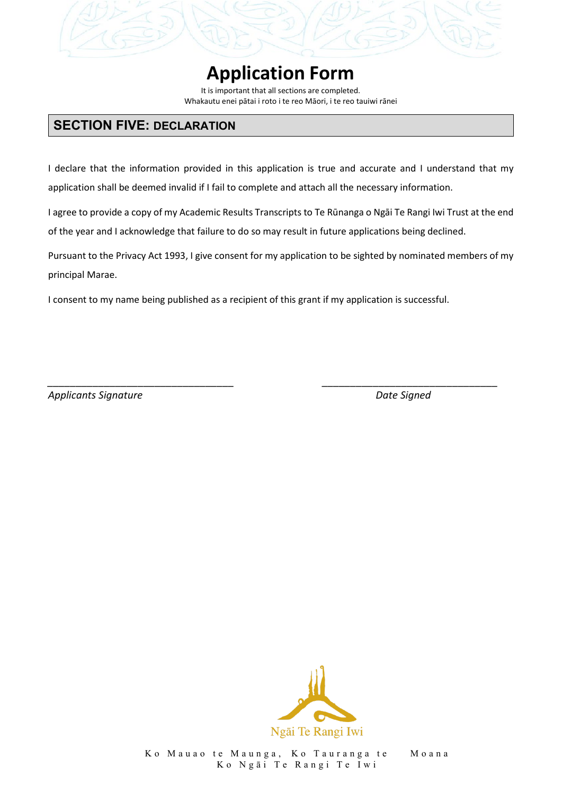It is important that all sections are completed. Whakautu enei pātai i roto i te reo Māori, i te reo tauiwi rānei

### **SECTION FIVE: DECLARATION**

I declare that the information provided in this application is true and accurate and I understand that my application shall be deemed invalid if I fail to complete and attach all the necessary information.

I agree to provide a copy of my Academic Results Transcripts to Te Rūnanga o Ngāi Te Rangi Iwi Trust at the end of the year and I acknowledge that failure to do so may result in future applications being declined.

Pursuant to the Privacy Act 1993, I give consent for my application to be sighted by nominated members of my principal Marae.

*\_\_\_\_\_\_\_\_\_\_\_\_\_\_\_\_\_\_\_\_\_\_\_\_\_\_\_\_\_\_\_\_\_ \_\_\_\_\_\_\_\_\_\_\_\_\_\_\_\_\_\_\_\_\_\_\_\_\_\_\_\_\_\_\_*

I consent to my name being published as a recipient of this grant if my application is successful.

*Applicants Signature Date Signed*